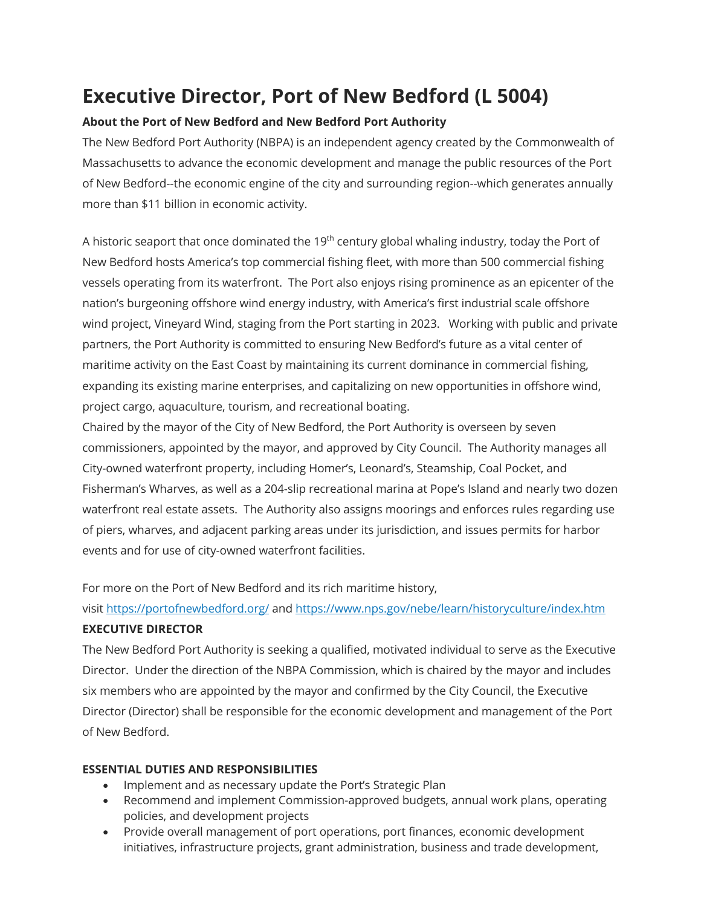# **Executive Director, Port of New Bedford (L 5004)**

#### **About the Port of New Bedford and New Bedford Port Authority**

The New Bedford Port Authority (NBPA) is an independent agency created by the Commonwealth of Massachusetts to advance the economic development and manage the public resources of the Port of New Bedford--the economic engine of the city and surrounding region--which generates annually more than \$11 billion in economic activity.

A historic seaport that once dominated the  $19<sup>th</sup>$  century global whaling industry, today the Port of New Bedford hosts America's top commercial fishing fleet, with more than 500 commercial fishing vessels operating from its waterfront. The Port also enjoys rising prominence as an epicenter of the nation's burgeoning offshore wind energy industry, with America's first industrial scale offshore wind project, Vineyard Wind, staging from the Port starting in 2023. Working with public and private partners, the Port Authority is committed to ensuring New Bedford's future as a vital center of maritime activity on the East Coast by maintaining its current dominance in commercial fishing, expanding its existing marine enterprises, and capitalizing on new opportunities in offshore wind, project cargo, aquaculture, tourism, and recreational boating.

Chaired by the mayor of the City of New Bedford, the Port Authority is overseen by seven commissioners, appointed by the mayor, and approved by City Council. The Authority manages all City-owned waterfront property, including Homer's, Leonard's, Steamship, Coal Pocket, and Fisherman's Wharves, as well as a 204-slip recreational marina at Pope's Island and nearly two dozen waterfront real estate assets. The Authority also assigns moorings and enforces rules regarding use of piers, wharves, and adjacent parking areas under its jurisdiction, and issues permits for harbor events and for use of city-owned waterfront facilities.

For more on the Port of New Bedford and its rich maritime history,

visit https://portofnewbedford.org/ and https://www.nps.gov/nebe/learn/historyculture/index.htm

#### **EXECUTIVE DIRECTOR**

The New Bedford Port Authority is seeking a qualified, motivated individual to serve as the Executive Director. Under the direction of the NBPA Commission, which is chaired by the mayor and includes six members who are appointed by the mayor and confirmed by the City Council, the Executive Director (Director) shall be responsible for the economic development and management of the Port of New Bedford.

#### **ESSENTIAL DUTIES AND RESPONSIBILITIES**

- Implement and as necessary update the Port's Strategic Plan
- Recommend and implement Commission-approved budgets, annual work plans, operating policies, and development projects
- Provide overall management of port operations, port finances, economic development initiatives, infrastructure projects, grant administration, business and trade development,